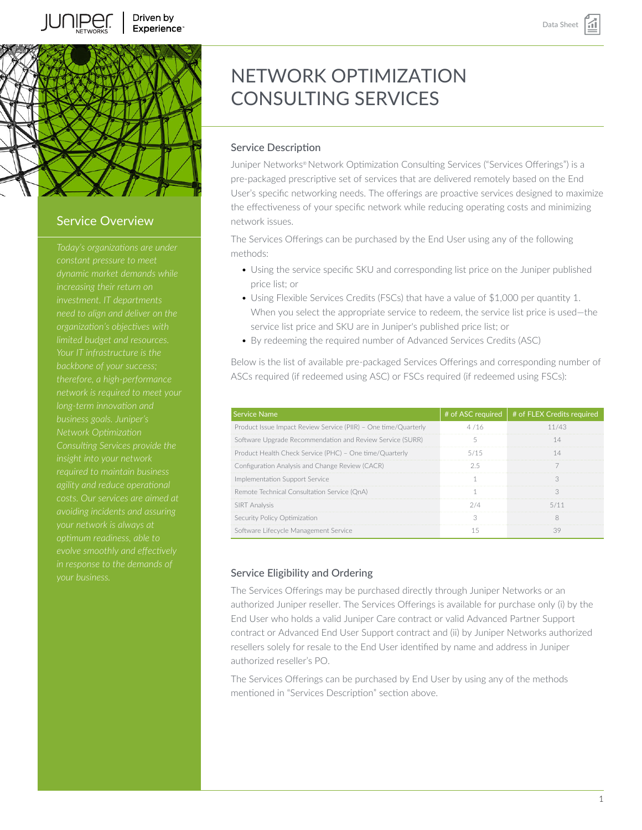

# Service Overview

*dynamic market demands while need to align and deliver on the organization's objectives with limited budget and resources. Your IT infrastructure is the long-term innovation and business goals. Juniper's insight into your network required to maintain business costs. Our services are aimed at avoiding incidents and assuring optimum readiness, able to evolve smoothly and effectively*

# NETWORK OPTIMIZATION CONSULTING SERVICES

# Service Description

Juniper Networks® Network Optimization Consulting Services ("Services Offerings") is a pre-packaged prescriptive set of services that are delivered remotely based on the End User's specific networking needs. The offerings are proactive services designed to maximize the effectiveness of your specific network while reducing operating costs and minimizing network issues.

The Services Offerings can be purchased by the End User using any of the following methods:

- Using the service specific SKU and corresponding list price on the Juniper published price list; or
- Using Flexible Services Credits (FSCs) that have a value of \$1,000 per quantity 1. When you select the appropriate service to redeem, the service list price is used—the service list price and SKU are in Juniper's published price list; or
- By redeeming the required number of Advanced Services Credits (ASC)

Below is the list of available pre-packaged Services Offerings and corresponding number of ASCs required (if redeemed using ASC) or FSCs required (if redeemed using FSCs):

| <b>Service Name</b>                                             |      | # of ASC required $#$ of FLEX Credits required |
|-----------------------------------------------------------------|------|------------------------------------------------|
| Product Issue Impact Review Service (PIIR) - One time/Quarterly |      | 11/43                                          |
| Software Upgrade Recommendation and Review Service (SURR)       |      |                                                |
| Product Health Check Service (PHC) - One time/Quarterly         | 5/15 |                                                |
| Configuration Analysis and Change Review (CACR)                 |      |                                                |
| Implementation Support Service                                  |      |                                                |
| Remote Technical Consultation Service (OnA)                     |      |                                                |
| <b>SIRT</b> Analysis                                            |      |                                                |
| Security Policy Optimization                                    |      |                                                |
| Software Lifecycle Management Service                           |      |                                                |

# Service Eligibility and Ordering

The Services Offerings may be purchased directly through Juniper Networks or an authorized Juniper reseller. The Services Offerings is available for purchase only (i) by the End User who holds a valid Juniper Care contract or valid Advanced Partner Support contract or Advanced End User Support contract and (ii) by Juniper Networks authorized resellers solely for resale to the End User identified by name and address in Juniper authorized reseller's PO.

The Services Offerings can be purchased by End User by using any of the methods mentioned in "Services Description" section above.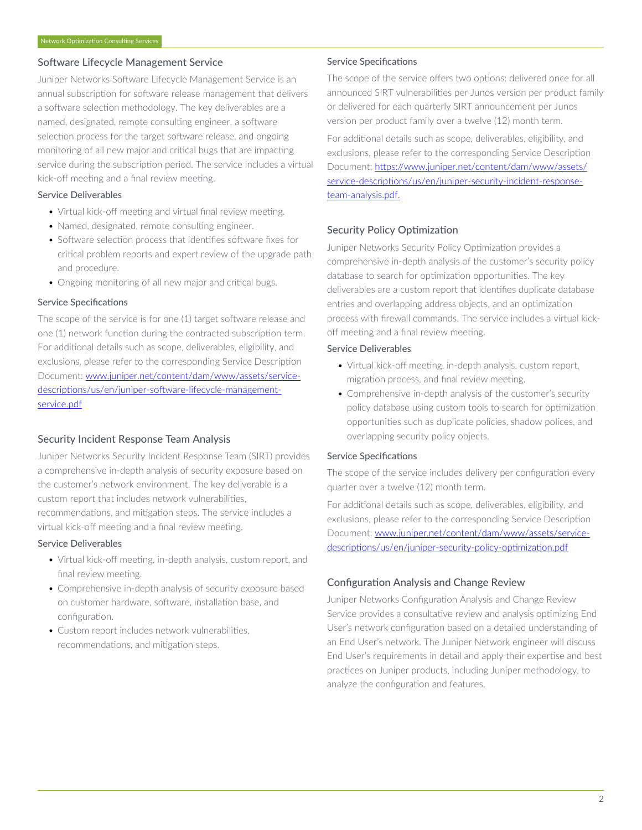# Software Lifecycle Management Service

Juniper Networks Software Lifecycle Management Service is an annual subscription for software release management that delivers a software selection methodology. The key deliverables are a named, designated, remote consulting engineer, a software selection process for the target software release, and ongoing monitoring of all new major and critical bugs that are impacting service during the subscription period. The service includes a virtual kick-off meeting and a final review meeting.

## Service Deliverables

- Virtual kick-off meeting and virtual final review meeting.
- Named, designated, remote consulting engineer.
- Software selection process that identifies software fixes for critical problem reports and expert review of the upgrade path and procedure.
- Ongoing monitoring of all new major and critical bugs.

## Service Specifications

The scope of the service is for one (1) target software release and one (1) network function during the contracted subscription term. For additional details such as scope, deliverables, eligibility, and exclusions, please refer to the corresponding Service Description Document: [www.juniper.net/content/dam/www/assets/service](https://www.juniper.net/content/dam/www/assets/service-descriptions/us/en/juniper-software-lifecycle-management-service.pdf)[descriptions/us/en/juniper-software-lifecycle-management](https://www.juniper.net/content/dam/www/assets/service-descriptions/us/en/juniper-software-lifecycle-management-service.pdf)[service.pdf](https://www.juniper.net/content/dam/www/assets/service-descriptions/us/en/juniper-software-lifecycle-management-service.pdf)

# Security Incident Response Team Analysis

Juniper Networks Security Incident Response Team (SIRT) provides a comprehensive in-depth analysis of security exposure based on the customer's network environment. The key deliverable is a custom report that includes network vulnerabilities, recommendations, and mitigation steps. The service includes a virtual kick-off meeting and a final review meeting.

### Service Deliverables

- Virtual kick-off meeting, in-depth analysis, custom report, and final review meeting.
- Comprehensive in-depth analysis of security exposure based on customer hardware, software, installation base, and configuration.
- Custom report includes network vulnerabilities, recommendations, and mitigation steps.

## Service Specifications

The scope of the service offers two options: delivered once for all announced SIRT vulnerabilities per Junos version per product family or delivered for each quarterly SIRT announcement per Junos version per product family over a twelve (12) month term.

For additional details such as scope, deliverables, eligibility, and exclusions, please refer to the corresponding Service Description Document: [https://www.juniper.net/content/dam/www/assets/](https://www.juniper.net/content/dam/www/assets/service-descriptions/us/en/juniper-security-incident-response-team-analysis.pdf) [service-descriptions/us/en/juniper-security-incident-response](https://www.juniper.net/content/dam/www/assets/service-descriptions/us/en/juniper-security-incident-response-team-analysis.pdf)[team-analysis.pdf.](https://www.juniper.net/content/dam/www/assets/service-descriptions/us/en/juniper-security-incident-response-team-analysis.pdf)

# Security Policy Optimization

Juniper Networks Security Policy Optimization provides a comprehensive in-depth analysis of the customer's security policy database to search for optimization opportunities. The key deliverables are a custom report that identifies duplicate database entries and overlapping address objects, and an optimization process with firewall commands. The service includes a virtual kickoff meeting and a final review meeting.

## Service Deliverables

- Virtual kick-off meeting, in-depth analysis, custom report, migration process, and final review meeting.
- Comprehensive in-depth analysis of the customer's security policy database using custom tools to search for optimization opportunities such as duplicate policies, shadow polices, and overlapping security policy objects.

### Service Specifications

The scope of the service includes delivery per configuration every quarter over a twelve (12) month term.

For additional details such as scope, deliverables, eligibility, and exclusions, please refer to the corresponding Service Description Document: [www.juniper.net/content/dam/www/assets/service](https://www.juniper.net/content/dam/www/assets/service-descriptions/us/en/juniper-security-policy-optimization.pdf)[descriptions/us/en/juniper-security-policy-optimization.pdf](https://www.juniper.net/content/dam/www/assets/service-descriptions/us/en/juniper-security-policy-optimization.pdf)

# Configuration Analysis and Change Review

Juniper Networks Configuration Analysis and Change Review Service provides a consultative review and analysis optimizing End User's network configuration based on a detailed understanding of an End User's network. The Juniper Network engineer will discuss End User's requirements in detail and apply their expertise and best practices on Juniper products, including Juniper methodology, to analyze the configuration and features.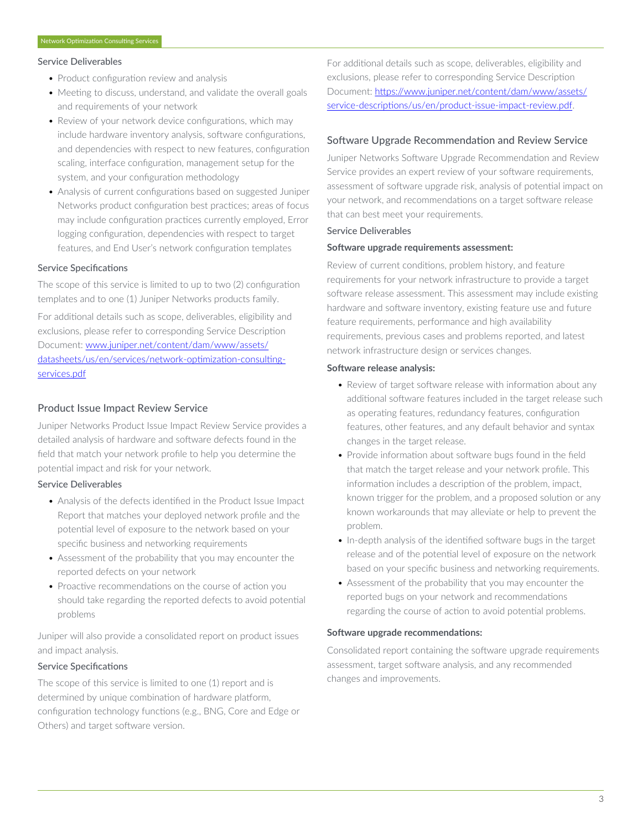#### Service Deliverables

- Product configuration review and analysis
- Meeting to discuss, understand, and validate the overall goals and requirements of your network
- Review of your network device configurations, which may include hardware inventory analysis, software configurations, and dependencies with respect to new features, configuration scaling, interface configuration, management setup for the system, and your configuration methodology
- Analysis of current configurations based on suggested Juniper Networks product configuration best practices; areas of focus may include configuration practices currently employed, Error logging configuration, dependencies with respect to target features, and End User's network configuration templates

#### Service Specifications

The scope of this service is limited to up to two (2) configuration templates and to one (1) Juniper Networks products family.

For additional details such as scope, deliverables, eligibility and exclusions, please refer to corresponding Service Description Document: [www.juniper.net/content/dam/www/assets/](https://www.juniper.net/content/dam/www/assets/datasheets/us/en/services/network-optimization-consulting-services.pdf) [datasheets/us/en/services/network-optimization-consulting](https://www.juniper.net/content/dam/www/assets/datasheets/us/en/services/network-optimization-consulting-services.pdf)[services.pdf](https://www.juniper.net/content/dam/www/assets/datasheets/us/en/services/network-optimization-consulting-services.pdf)

## Product Issue Impact Review Service

Juniper Networks Product Issue Impact Review Service provides a detailed analysis of hardware and software defects found in the field that match your network profile to help you determine the potential impact and risk for your network.

## Service Deliverables

- Analysis of the defects identified in the Product Issue Impact Report that matches your deployed network profile and the potential level of exposure to the network based on your specific business and networking requirements
- Assessment of the probability that you may encounter the reported defects on your network
- Proactive recommendations on the course of action you should take regarding the reported defects to avoid potential problems

Juniper will also provide a consolidated report on product issues and impact analysis.

#### Service Specifications

The scope of this service is limited to one (1) report and is determined by unique combination of hardware platform, configuration technology functions (e.g., BNG, Core and Edge or Others) and target software version.

For additional details such as scope, deliverables, eligibility and exclusions, please refer to corresponding Service Description Document: [https://www.juniper.net/content/dam/www/assets/](https://www.juniper.net/content/dam/www/assets/service-descriptions/us/en/product-issue-impact-review.pdf) [service-descriptions/us/en/product-issue-impact-review.pdf](https://www.juniper.net/content/dam/www/assets/service-descriptions/us/en/product-issue-impact-review.pdf).

#### Software Upgrade Recommendation and Review Service

Juniper Networks Software Upgrade Recommendation and Review Service provides an expert review of your software requirements, assessment of software upgrade risk, analysis of potential impact on your network, and recommendations on a target software release that can best meet your requirements.

## Service Deliverables

#### **Software upgrade requirements assessment:**

Review of current conditions, problem history, and feature requirements for your network infrastructure to provide a target software release assessment. This assessment may include existing hardware and software inventory, existing feature use and future feature requirements, performance and high availability requirements, previous cases and problems reported, and latest network infrastructure design or services changes.

#### **Software release analysis:**

- Review of target software release with information about any additional software features included in the target release such as operating features, redundancy features, configuration features, other features, and any default behavior and syntax changes in the target release.
- Provide information about software bugs found in the field that match the target release and your network profile. This information includes a description of the problem, impact, known trigger for the problem, and a proposed solution or any known workarounds that may alleviate or help to prevent the problem.
- In-depth analysis of the identified software bugs in the target release and of the potential level of exposure on the network based on your specific business and networking requirements.
- Assessment of the probability that you may encounter the reported bugs on your network and recommendations regarding the course of action to avoid potential problems.

## **Software upgrade recommendations:**

Consolidated report containing the software upgrade requirements assessment, target software analysis, and any recommended changes and improvements.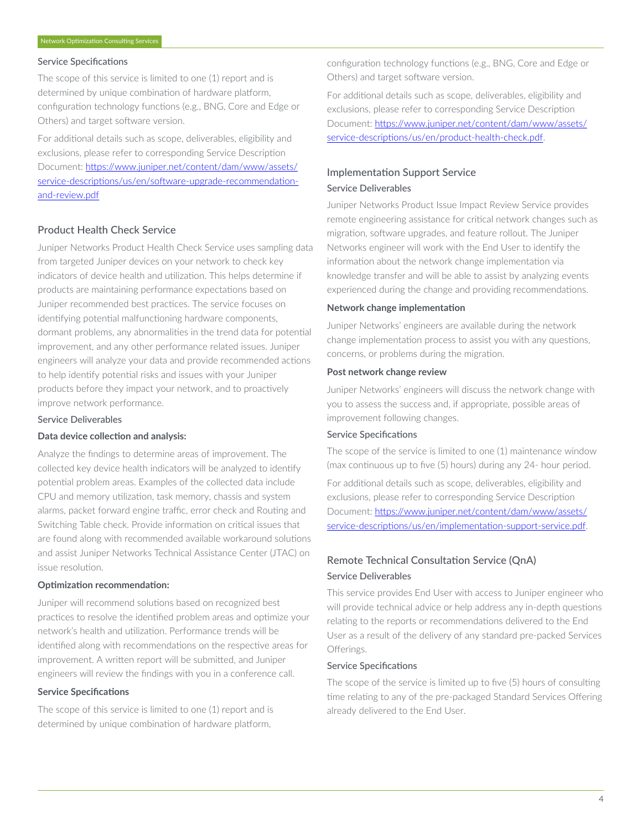## Service Specifications

The scope of this service is limited to one (1) report and is determined by unique combination of hardware platform, configuration technology functions (e.g., BNG, Core and Edge or Others) and target software version.

For additional details such as scope, deliverables, eligibility and exclusions, please refer to corresponding Service Description Document: [https://www.juniper.net/content/dam/www/assets/](https://www.juniper.net/content/dam/www/assets/service-descriptions/us/en/software-upgrade-recommendation-and-review.pdf) [service-descriptions/us/en/software-upgrade-recommendation](https://www.juniper.net/content/dam/www/assets/service-descriptions/us/en/software-upgrade-recommendation-and-review.pdf)[and-review.pdf](https://www.juniper.net/content/dam/www/assets/service-descriptions/us/en/software-upgrade-recommendation-and-review.pdf)

# Product Health Check Service

Juniper Networks Product Health Check Service uses sampling data from targeted Juniper devices on your network to check key indicators of device health and utilization. This helps determine if products are maintaining performance expectations based on Juniper recommended best practices. The service focuses on identifying potential malfunctioning hardware components, dormant problems, any abnormalities in the trend data for potential improvement, and any other performance related issues. Juniper engineers will analyze your data and provide recommended actions to help identify potential risks and issues with your Juniper products before they impact your network, and to proactively improve network performance.

#### Service Deliverables

## **Data device collection and analysis:**

Analyze the findings to determine areas of improvement. The collected key device health indicators will be analyzed to identify potential problem areas. Examples of the collected data include CPU and memory utilization, task memory, chassis and system alarms, packet forward engine traffic, error check and Routing and Switching Table check. Provide information on critical issues that are found along with recommended available workaround solutions and assist Juniper Networks Technical Assistance Center (JTAC) on issue resolution.

### **Optimization recommendation:**

Juniper will recommend solutions based on recognized best practices to resolve the identified problem areas and optimize your network's health and utilization. Performance trends will be identified along with recommendations on the respective areas for improvement. A written report will be submitted, and Juniper engineers will review the findings with you in a conference call.

# **Service Specifications**

The scope of this service is limited to one (1) report and is determined by unique combination of hardware platform,

configuration technology functions (e.g., BNG, Core and Edge or Others) and target software version.

For additional details such as scope, deliverables, eligibility and exclusions, please refer to corresponding Service Description Document: [https://www.juniper.net/content/dam/www/assets/](https://www.juniper.net/content/dam/www/assets/service-descriptions/us/en/product-health-check.pdf) [service-descriptions/us/en/product-health-check.pdf](https://www.juniper.net/content/dam/www/assets/service-descriptions/us/en/product-health-check.pdf).

# Implementation Support Service Service Deliverables

Juniper Networks Product Issue Impact Review Service provides remote engineering assistance for critical network changes such as migration, software upgrades, and feature rollout. The Juniper Networks engineer will work with the End User to identify the information about the network change implementation via knowledge transfer and will be able to assist by analyzing events experienced during the change and providing recommendations.

#### **Network change implementation**

Juniper Networks' engineers are available during the network change implementation process to assist you with any questions, concerns, or problems during the migration.

#### **Post network change review**

Juniper Networks' engineers will discuss the network change with you to assess the success and, if appropriate, possible areas of improvement following changes.

#### Service Specifications

The scope of the service is limited to one (1) maintenance window (max continuous up to five (5) hours) during any 24- hour period.

For additional details such as scope, deliverables, eligibility and exclusions, please refer to corresponding Service Description Document: [https://www.juniper.net/content/dam/www/assets/](https://www.juniper.net/content/dam/www/assets/service-descriptions/us/en/implementation-support-service.pdf) [service-descriptions/us/en/implementation-support-service.pdf.](https://www.juniper.net/content/dam/www/assets/service-descriptions/us/en/implementation-support-service.pdf)

# Remote Technical Consultation Service (QnA) Service Deliverables

This service provides End User with access to Juniper engineer who will provide technical advice or help address any in-depth questions relating to the reports or recommendations delivered to the End User as a result of the delivery of any standard pre-packed Services Offerings.

#### Service Specifications

The scope of the service is limited up to five (5) hours of consulting time relating to any of the pre-packaged Standard Services Offering already delivered to the End User.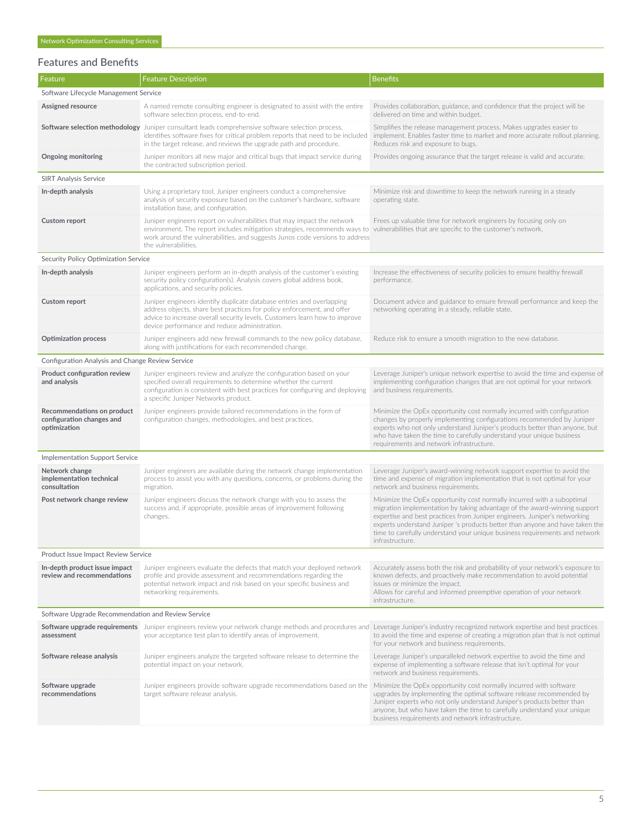# Network Optimization Consulting Services

# Features and Benefits

| Feature                                                                 | <b>Feature Description</b>                                                                                                                                                                                                                                                                                                 | <b>Benefits</b>                                                                                                                                                                                                                                                                                                                                                                                                   |  |  |
|-------------------------------------------------------------------------|----------------------------------------------------------------------------------------------------------------------------------------------------------------------------------------------------------------------------------------------------------------------------------------------------------------------------|-------------------------------------------------------------------------------------------------------------------------------------------------------------------------------------------------------------------------------------------------------------------------------------------------------------------------------------------------------------------------------------------------------------------|--|--|
| Software Lifecycle Management Service                                   |                                                                                                                                                                                                                                                                                                                            |                                                                                                                                                                                                                                                                                                                                                                                                                   |  |  |
| Assigned resource                                                       | A named remote consulting engineer is designated to assist with the entire<br>software selection process, end-to-end.                                                                                                                                                                                                      | Provides collaboration, guidance, and confidence that the project will be<br>delivered on time and within budget.                                                                                                                                                                                                                                                                                                 |  |  |
|                                                                         | Software selection methodology Juniper consultant leads comprehensive software selection process,<br>identifies software fixes for critical problem reports that need to be included<br>in the target release, and reviews the upgrade path and procedure.                                                                 | Simplifies the release management process. Makes upgrades easier to<br>implement. Enables faster time to market and more accurate rollout planning.<br>Reduces risk and exposure to bugs.                                                                                                                                                                                                                         |  |  |
| <b>Ongoing monitoring</b>                                               | Juniper monitors all new major and critical bugs that impact service during<br>the contracted subscription period.                                                                                                                                                                                                         | Provides ongoing assurance that the target release is valid and accurate.                                                                                                                                                                                                                                                                                                                                         |  |  |
| <b>SIRT Analysis Service</b>                                            |                                                                                                                                                                                                                                                                                                                            |                                                                                                                                                                                                                                                                                                                                                                                                                   |  |  |
| In-depth analysis                                                       | Using a proprietary tool, Juniper engineers conduct a comprehensive<br>analysis of security exposure based on the customer's hardware, software<br>installation base, and configuration.                                                                                                                                   | Minimize risk and downtime to keep the network running in a steady<br>operating state.                                                                                                                                                                                                                                                                                                                            |  |  |
| <b>Custom report</b>                                                    | Juniper engineers report on vulnerabilities that may impact the network<br>environment. The report includes mitigation strategies, recommends ways to vulnerabilities that are specific to the customer's network.<br>work around the vulnerabilities, and suggests Junos code versions to address<br>the vulnerabilities. | Frees up valuable time for network engineers by focusing only on                                                                                                                                                                                                                                                                                                                                                  |  |  |
| Security Policy Optimization Service                                    |                                                                                                                                                                                                                                                                                                                            |                                                                                                                                                                                                                                                                                                                                                                                                                   |  |  |
| In-depth analysis                                                       | Juniper engineers perform an in-depth analysis of the customer's existing<br>security policy configuration(s). Analysis covers global address book,<br>applications, and security policies.                                                                                                                                | Increase the effectiveness of security policies to ensure healthy firewall<br>performance.                                                                                                                                                                                                                                                                                                                        |  |  |
| Custom report                                                           | Juniper engineers identify duplicate database entries and overlapping<br>address objects, share best practices for policy enforcement, and offer<br>advice to increase overall security levels. Customers learn how to improve<br>device performance and reduce administration.                                            | Document advice and guidance to ensure firewall performance and keep the<br>networking operating in a steady, reliable state.                                                                                                                                                                                                                                                                                     |  |  |
| <b>Optimization process</b>                                             | Juniper engineers add new firewall commands to the new policy database,<br>along with justifications for each recommended change.                                                                                                                                                                                          | Reduce risk to ensure a smooth migration to the new database.                                                                                                                                                                                                                                                                                                                                                     |  |  |
| Configuration Analysis and Change Review Service                        |                                                                                                                                                                                                                                                                                                                            |                                                                                                                                                                                                                                                                                                                                                                                                                   |  |  |
| Product configuration review<br>and analysis                            | Juniper engineers review and analyze the configuration based on your<br>specified overall requirements to determine whether the current<br>configuration is consistent with best practices for configuring and deploying<br>a specific Juniper Networks product.                                                           | Leverage Juniper's unique network expertise to avoid the time and expense of<br>implementing configuration changes that are not optimal for your network<br>and business requirements.                                                                                                                                                                                                                            |  |  |
| Recommendations on product<br>configuration changes and<br>optimization | Juniper engineers provide tailored recommendations in the form of<br>configuration changes, methodologies, and best practices.                                                                                                                                                                                             | Minimize the OpEx opportunity cost normally incurred with configuration<br>changes by properly implementing configurations recommended by Juniper<br>experts who not only understand Juniper's products better than anyone, but<br>who have taken the time to carefully understand your unique business<br>requirements and network infrastructure.                                                               |  |  |
| <b>Implementation Support Service</b>                                   |                                                                                                                                                                                                                                                                                                                            |                                                                                                                                                                                                                                                                                                                                                                                                                   |  |  |
| Network change<br>implementation technical<br>consultation              | Juniper engineers are available during the network change implementation<br>process to assist you with any questions, concerns, or problems during the<br>migration.                                                                                                                                                       | Leverage Juniper's award-winning network support expertise to avoid the<br>time and expense of migration implementation that is not optimal for your<br>network and business requirements.                                                                                                                                                                                                                        |  |  |
| Post network change review                                              | Juniper engineers discuss the network change with you to assess the<br>success and, if appropriate, possible areas of improvement following<br>changes.                                                                                                                                                                    | Minimize the OpEx opportunity cost normally incurred with a suboptimal<br>migration implementation by taking advantage of the award-winning support<br>expertise and best practices from Juniper engineers. Juniper's networking<br>experts understand Juniper 's products better than anyone and have taken the<br>time to carefully understand your unique business requirements and network<br>intrastructure. |  |  |
| Product Issue Impact Review Service                                     |                                                                                                                                                                                                                                                                                                                            |                                                                                                                                                                                                                                                                                                                                                                                                                   |  |  |
| In-depth product issue impact<br>review and recommendations             | Juniper engineers evaluate the defects that match your deployed network<br>profile and provide assessment and recommendations regarding the<br>potential network impact and risk based on your specific business and<br>networking requirements.                                                                           | Accurately assess both the risk and probability of your network's exposure to<br>known defects, and proactively make recommendation to avoid potential<br>issues or minimize the impact.<br>Allows for careful and informed preemptive operation of your network<br>infrastructure.                                                                                                                               |  |  |
| Software Upgrade Recommendation and Review Service                      |                                                                                                                                                                                                                                                                                                                            |                                                                                                                                                                                                                                                                                                                                                                                                                   |  |  |
| assessment                                                              | Software upgrade requirements Juniper engineers review your network change methods and procedures and Leverage Juniper's industry recognized network expertise and best practices<br>your acceptance test plan to identify areas of improvement.                                                                           | to avoid the time and expense of creating a migration plan that is not optimal<br>for your network and business requirements.                                                                                                                                                                                                                                                                                     |  |  |
| Software release analysis                                               | Juniper engineers analyze the targeted software release to determine the<br>potential impact on your network.                                                                                                                                                                                                              | Leverage Juniper's unparalleled network expertise to avoid the time and<br>expense of implementing a software release that isn't optimal for your<br>network and business requirements.                                                                                                                                                                                                                           |  |  |
| Software upgrade<br>recommendations                                     | Juniper engineers provide software upgrade recommendations based on the<br>target software release analysis.                                                                                                                                                                                                               | Minimize the OpEx opportunity cost normally incurred with software<br>upgrades by implementing the optimal software release recommended by<br>Juniper experts who not only understand Juniper's products better than<br>anyone, but who have taken the time to carefully understand your unique<br>business requirements and network infrastructure.                                                              |  |  |